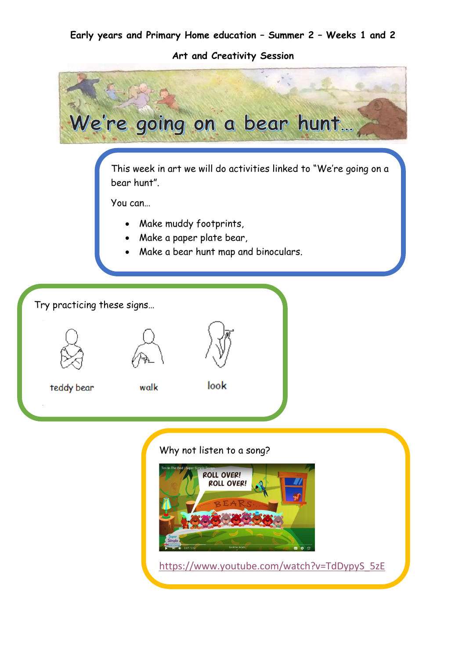#### **Early years and Primary Home education – Summer 2 – Weeks 1 and 2**

**Art and Creativity Session**

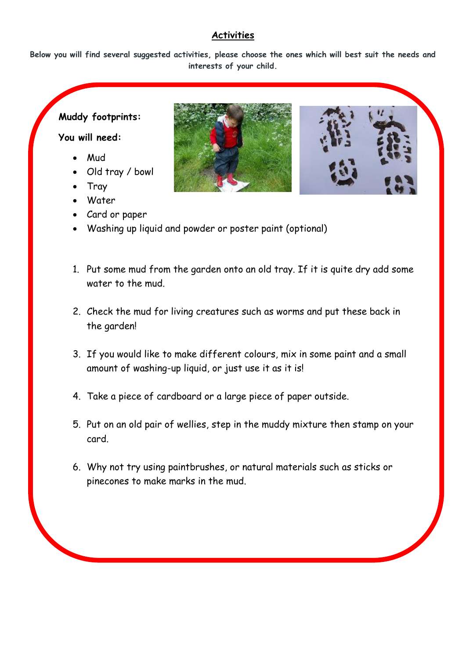## **Activities**

**Below you will find several suggested activities, please choose the ones which will best suit the needs and interests of your child.**

# **Muddy footprints:**

## **You will need:**

- Mud
- Old tray / bowl
- Tray
- Water
- Card or paper



- 1. Put some mud from the garden onto an old tray. If it is quite dry add some water to the mud.
- 2. Check the mud for living creatures such as worms and put these back in the garden!
- 3. If you would like to make different colours, mix in some paint and a small amount of washing-up liquid, or just use it as it is!
- 4. Take a piece of cardboard or a large piece of paper outside.
- 5. Put on an old pair of wellies, step in the muddy mixture then stamp on your card.
- 6. Why not try using paintbrushes, or natural materials such as sticks or pinecones to make marks in the mud.

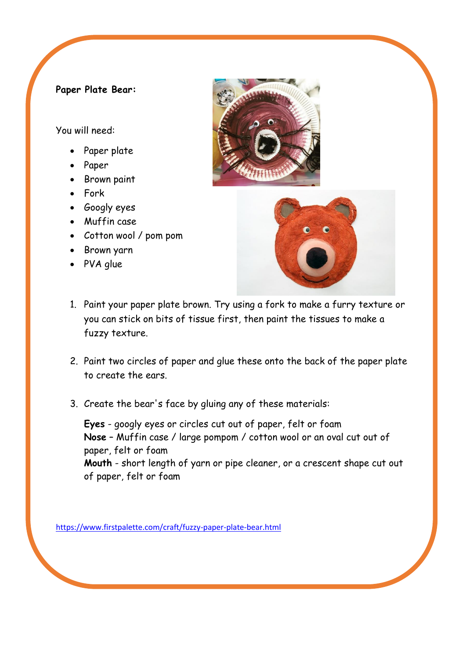### **Paper Plate Bear:**

You will need:

- Paper plate
- Paper
- Brown paint
- Fork
- Googly eyes
- Muffin case
- Cotton wool / pom pom
- Brown yarn
- PVA glue





- 1. Paint your paper plate brown. Try using a fork to make a furry texture or you can stick on bits of tissue first, then paint the tissues to make a fuzzy texture.
- 2. Paint two circles of paper and glue these onto the back of the paper plate to create the ears.
- 3. Create the bear's face by gluing any of these materials:

**Eyes** - googly eyes or circles cut out of paper, felt or foam **Nose** – Muffin case / large pompom / cotton wool or an oval cut out of paper, felt or foam **Mouth** - short length of yarn or pipe cleaner, or a crescent shape cut out of paper, felt or foam

<https://www.firstpalette.com/craft/fuzzy-paper-plate-bear.html>